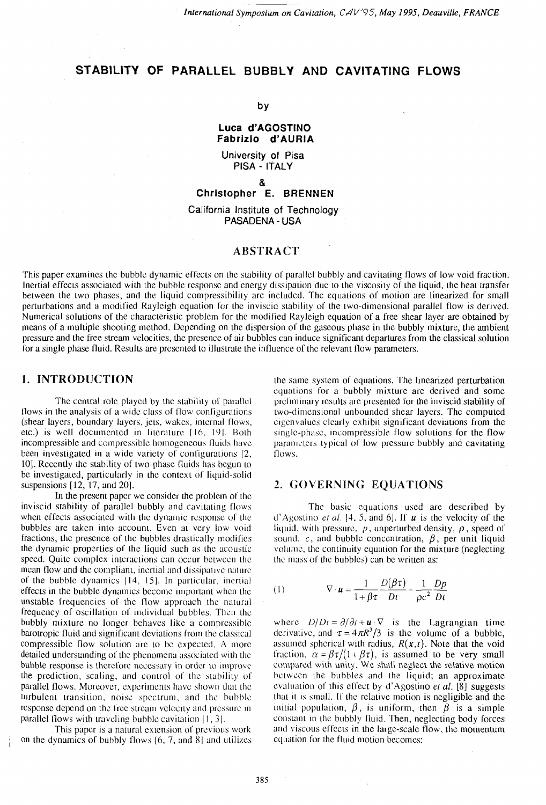# **STABILITY OF PARALLEL BUBBLY AND CAVlTATlNG FLOWS**

#### by

## **Luca d'AGOSTIN0 Fabrizlo d'AURIA**

**University of Pisa PlSA** - **ITALY** 

#### &

**Christopher E. BRENNEN** 

**California Institute of Technology PASADENA** - **USA** 

# **ABSTRACT**

This paper examines the bubble dynamic effects on the stability of parallel bubbly and cavitating flows of low void fraction. Inertial effects associated with the bubble response and energy dissipation due to the viscosity of the liquid, the heat transfer between the two phases, and the liquid compressibility are included. The equations of motion are linearized for small perturbations and a modified Rayleigh equation for the inviscid stability of the two-dimensional parallel flow is derived. Numerical solutions of the characterislic problem for the modified Rayleigh equation of a free shear layer are obtained by means of a multiple shooting method. Depending on the dispersion of the gaseous phase in the bubbly mixture, the ambient pressure and the free suearn velocities, the presence of air bubbles can induce significant departures from the classical solution for a single phase fluid. Results are presented to illustrale the influence of the relevant flow parameters.

# **1. INTRODUCTION**

The central role played by the stability of parallel flows in the analysis of a wide class of flow configurations (shear layers, boundary layers, Jets, wakes, inlcrnal Ilows, etc.) is well documented in literature  $[16, 19]$ . Both incompressible and compressible homogeneous fluids have been investigated in a wide variety of configurations [2, 10]. Recently the stability of two-phase fluids has begun to be investigated, particularly in the context of liquid-solid suspensions  $[12, 17,$  and  $20$ ].

In the present paper we consider the problem of the inviscid stability of parallel bubbly and cavitaling flows when effects associated with the dynamic response of the bubbles are taken into account. Even at very low void fractions, the presence of the bubbles drastically modifies the dynamic properties of the liquid such as the acoustic speed. Quite complex interactions can occur between the mean flow and the compliant, inertial and dissipative nature of the bubble dynamics  $[14, 15]$ . In particular, incrtial effects in the bubble dynamics become important when the unstable frequencies of thc Ilow approach the natural frequency of oscillation of individual bubbles. Then the bubbly mixture no longer behaves like a compressible barotropic fluid and significant deviations from the classical compressible flow solution are to be expected. A more detailed understanding of the phenomena associated with the bubble response is therefore necessary in order to improve the prediction, scaling, and control of the stability of parallel flows. Moreover, experiments have shown that the turbulent transition, noise spectrum, and the bubble response depend on the free stream velocity and pressure in parallel flows with traveling bubble cavitation  $[1, 3]$ .

This paper is a natural cxlcnsion of previous work on the dynamics of bubbly flows  $[6, 7,$  and  $8]$  and utilizes

 he same system of equations. The linearized perturbation cqualions for a bubbly mixture are derived and some preliminary results are presented for the inviscid stability of lwo-dimensional unbounded shear layers. The computed cigcnvalucs clearly exhibit significant deviations from the single-phasc, incompressible flow solulions for the flow parameters typical of low pressure bubbly and cavitating flows.

## **2. GOVERNING EQUATIONS**

Thc basic equations used are described by d'Agostino *et al.*  $[4, 5,$  and 6]. If **u** is the velocity of the liquid, with pressure,  $p$ , unperturbed density,  $p$ , speed of sound,  $c$ , and bubble concentration,  $\beta$ , per unit liquid volume, the continuity equation for the mixture (neglecting the mass of the bubbles) can be written as:

(1) 
$$
\nabla \cdot \mathbf{u} = \frac{1}{1 + \beta \tau} \frac{D(\beta \tau)}{Dt} - \frac{1}{\rho c^2} \frac{Dp}{Dt}
$$

where  $D/Dt = \partial/\partial t + \mathbf{u} \cdot \nabla$  is the Lagrangian time dcrivative, and  $\tau = 4\pi R^3/3$  is the volume of a bubble, assumed spherical with radius,  $R(x,t)$ . Note that the void fraction,  $\alpha = \beta \tau/(1 + \beta \tau)$ , is assumed to be very small compared with unity. We shall neglect the relative motion between the bubbles and the liquid; an approximate evaluation of this effect by d'Agostino et al.  $[8]$  suggests that it is small. If the relative motion is negligible and the initial population,  $\beta$ , is uniform, then  $\beta$  is a simple constant in the bubbly fluid. Then, neglecting body forces and viscous effects in the large-scale flow, the momentum equation for the fluid motion becomes: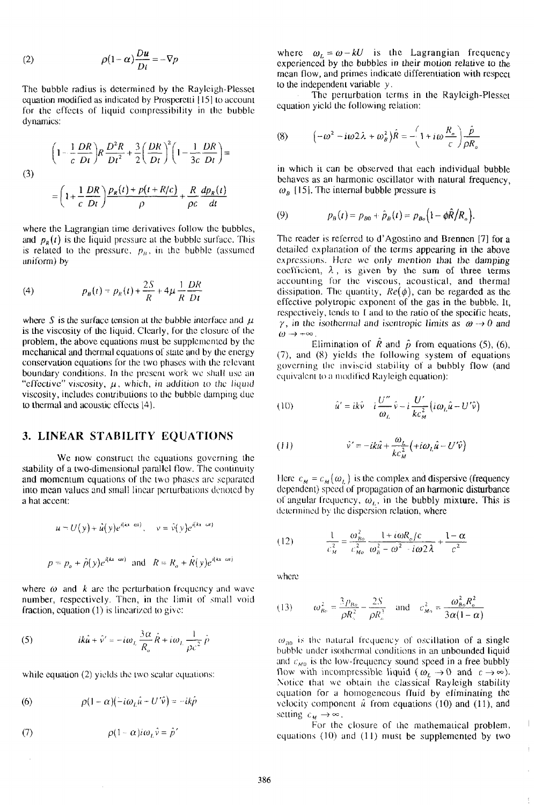(2) 
$$
\rho(1-\alpha)\frac{Du}{Dt} = -\nabla p
$$

Thc bubble radius is determined by the Raylcigh-Plessct equation modified as indicated by Prosperctti [15] to account for the effects of liquid compressibility in the bubble dynamics:

(3)  

$$
\left(1 - \frac{1}{c} \frac{DR}{Dt}\right)R \frac{D^2 R}{Dt^2} + \frac{3}{2} \left(\frac{DR}{Dt}\right)^2 \left(1 - \frac{1}{3c} \frac{DR}{Dt}\right) =
$$

$$
= \left(1 + \frac{1}{c} \frac{DR}{Dt}\right) \frac{p_R(t) + p(t + R/c)}{\rho} + \frac{R}{\rho c} \frac{dp_R(t)}{dt}
$$

where the Lagrangian time derivatives follow the bubbles, and  $p<sub>R</sub>(t)$  is the liquid pressure at the bubble surface. This is related to the pressure,  $p<sub>B</sub>$ , in the bubble (assumed uniform) by

(4) 
$$
p_B(t) = p_R(t) + \frac{2S}{R} + 4\mu \frac{1}{R} \frac{DR}{Dt}
$$

where *S* is the surface tension at the bubble interface and  $\mu$ is the viscosity of the liquid. Clearly, for thc closure of the problem, the above equations must bc supplemented by thc mechanical and thermal equations of state and by the energy conservation equations for the two phases with the relevant boundary conditions. In the present work we shall use an "effective" viscosity,  $\mu$ , which, in addition to the liquid viscosity, includes contributions to the bubble damping due to thermal and acoustic effects [4].

# **3. LINEAR STABILITY EQUATIONS**

We now construct the equations governing the stability of a two-dimensional parallel flow. The continuity and momentum equations of the two phases are separated into mean values and small linear perturbations denoted by a hat accent:

$$
u = U(y) + \hat{u}(y)e^{i(kx - \omega t)}, \quad v = \hat{v}(y)e^{i(kx - \omega t)}
$$
  

$$
p = p_o + \hat{p}(y)e^{i(kx - \omega t)} \text{ and } R = R_o + \hat{R}(y)e^{i(kx - \omega t)}
$$

where  $\omega$  and  $k$  are the perturbation frequency and wave number, respectively. Then, in the limit of small void fraction, equation  $(1)$  is linearized to give:

(5) 
$$
ik\hat{u} + \hat{v}' = -i\omega_L \frac{3\alpha}{R_o} \hat{R} + i\omega_L \frac{1}{\rho c^2} \hat{p}
$$

while equation  $(2)$  yields the two scalar equations:

(6) 
$$
\rho(1-\alpha)(-i\omega_L\hat{u}+U'\hat{v})=-ik\hat{p}
$$

(7) 
$$
\rho(1-\alpha)i\omega_L\hat{v} = \hat{p}'
$$

where  $\omega_L = \omega - kU$  is the Lagrangian frequency experienced by the bubbles in their motion relative to the mean flow, and primes indicate differentiation with respect lo the independent variable *y* .

The perturbation terms in the Rayleigh-Plesset equation yield the following relation:

(8) 
$$
\left(-\omega^2 - i\omega^2\lambda + \omega_\theta^2\right)\hat{R} = -\left(1 + i\omega\frac{R_\circ}{c}\right)\frac{\hat{p}}{\rho R_\circ}
$$

in which it can be observed that each individual bubble behaves as an harmonic oscillator with natural frequency,  $\omega_n$  [15]. The internal bubble pressure is

(9) 
$$
p_B(t) = p_{B0} + \hat{p}_B(t) = p_{B0} \Big( 1 - \phi \hat{R} / R_o \Big).
$$

The reader is referred to d'Agostino and Brennen [7] for a detailed explanation of the terms appearing in the above expressions. Here we only mention that the damping coefficient,  $\lambda$ , is given by the sum of three terms accounting for the viscous, acouslical, and thermal dissipation. The quantity,  $Re(\phi)$ , can be regarded as the effective polytropic cxponenl of the gas in the bubble. 11, respectively, tends to 1 and to the ratio of the specific heats,  $\gamma$ , in the isothermal and iscniropic limits as  $\omega \rightarrow 0$  and  $\omega \rightarrow +\infty$ .

Elimination of  $\hat{R}$  and  $\hat{p}$  from equations (5), (6), (7), and (8) yields the following system of equations governing the inviscid stability of a bubbly flow (and equivalent to a modified Rayleigh equation):

(10) 
$$
\hat{u}' = ik\hat{v} - i\frac{U''}{\omega_L}\hat{v} - i\frac{U'}{kc_M^2}(i\omega_L\hat{u} - U'\hat{v})
$$

(11) 
$$
\hat{v}' = -ik\hat{u} + \frac{\omega_L}{kc_M^2} \left( +i\omega_L \hat{u} - U'\hat{v} \right)
$$

Here  $c_M = c_M(\omega_L)$  is the complex and dispersive (frequency dependent) speed of propagation of an harmonic disturbance of angular frequency,  $\omega_L$ , in the bubbly mixture. This is determined by the dispersion relation, where

$$
(12) \qquad \frac{1}{c_M^2} = \frac{\omega_{Bo}^2}{c_{Mo}^2} \frac{1 + i\omega R_o/c}{\omega_b^2 - \omega^2 - i\omega 2\lambda} + \frac{1 - \alpha}{c^2}
$$

where

(13) 
$$
\omega_{B_0}^2 = \frac{3p_{B_0}}{\rho R_c^2} - \frac{2S}{\rho R_a^3} \text{ and } c_{M_0}^2 = \frac{\omega_{B_0}^2 R_o^2}{3\alpha(1-\alpha)}
$$

 $\omega_{\mu}$  is the natural frequency of oscillation of a single bubble under isothermal conditions in an unbounded liquid and  $c_{M0}$  is the low-frequency sound speed in a free bubbly How with incompressible liquid ( $\omega_L \rightarrow 0$  and  $c \rightarrow \infty$ ). Notice that we obtain the classical Rayleigh stability equation for a homogeneous fluid by eliminating the velocity component  $\hat{u}$  from equations (10) and (11), and setting  $c_M \rightarrow \infty$ .

For the closure of the mathematical problem, equations  $(10)$  and  $(11)$  must be supplemented by two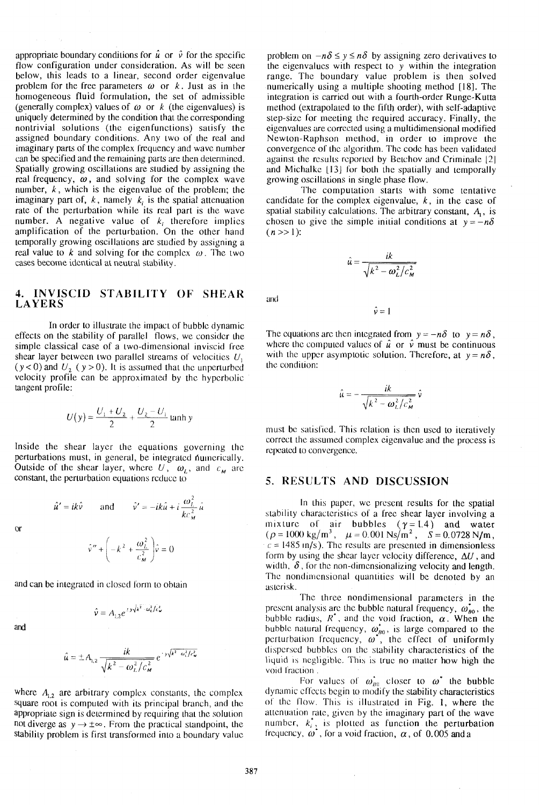appropriate boundary conditions for  $\hat{u}$  or  $\hat{v}$  for the specific flow configuration under consideration. As will be seen below, this leads to a linear, second order eigenvalue problem for the free parameters  $\omega$  or  $k$ . Just as in the homogeneous fluid formulation, the set of admissible (generally complex) values of  $\omega$  or  $k$  (the eigenvalues) is uniquely determined by the condition that the corresponding nontrivial solutions (the eigenfunctions) satisfy the assigned boundary conditions. Any two of the real and imaginary parts of the complex frequency and wave number can be specified and the remaining parts are then delennined. Spatially growing oscillations are studied by assigning the real frequency, **w,** and solving for the complex wave number, **k,** which is the eigenvalue of the problem; the imaginary part of,  $k$ , namely  $k<sub>i</sub>$  is the spatial attenuation rate of the perturbation while its real part is the wave number. A negative value of  $k_i$  therefore implies amplification of the perturbation. On the other hand temporally growing oscillations are studied by assigning a real value to  $k$  and solving for the complex  $\omega$ . The two cases become identical at neutral stability.

## **4. INVISCID STABILITY OF SHEAR LAYERS**

In order to illustrate the impact of bubblc dynamic effects on the stability of parallel flows, we consider the simple classical case of a two-dimensional inviscid free shear layer between two parallel streams of velocities  $U_1$  $(y < 0)$  and  $U_2$  ( $y > 0$ ). It is assumed that the unperturbed velocity profile can be approximated by the hyperbolic tangent profile:

$$
U(y) = \frac{U_1 + U_2}{2} + \frac{U_2 - U_1}{2} \tanh y
$$

Inside the shear laycr the equations governing the perturbations must, in general, be integrated numerically. Outside of the shear layer, where U,  $\omega_L$ , and  $c_M$  are constant, the perlurbation equations rcducc to

 $\hat{u}' = ik\hat{v}$  and  $\hat{v}' = -ik\hat{u} + i\frac{\omega_L^2}{kc_M^2}\hat{u}$ 

 $\alpha$ 

$$
\hat{v}'' + \left(-k^2 + \frac{\omega_L^2}{c_M^2}\right)\hat{v} = 0
$$

and can be integratcd in closed form to obtain

$$
\hat{\mathbf{v}} = A_{12} e^{-\mathbf{v}\sqrt{k^2 - \omega_L^2/c_M^2}}
$$

and

$$
\hat{u} = \pm A_{1,2} \frac{ik}{\sqrt{k^2 - \omega_L^2/c_M^2}} e^{-\gamma \sqrt{k^2 - \omega_L^2/c_M^2}}
$$

where  $A_{1,2}$  are arbitrary complex constants, the complex square root is computed with its principal branch, and the appropriate sign is determined by requiring that the solution not diverge as  $y \rightarrow \pm \infty$ . From the practical standpoint, the stability problem is first transformed inlo a boundary valuc problem on  $-n\delta \leq y \leq n\delta$  by assigning zero derivatives to the eigenvalues with respect to  $y$  within the integration range. The boundary value problem is then solved numerically using a multiple shooting method [18]. The integration is carried out with a fourth-order Runge-Kutta method (extrapolated to the fifth order), with self-adaptive step-size for meeting the required accuracy. Finally, the eigenvalues are corrccted using a multidimensional modified Newton-Raphson method, in order to improve the convergence of the algorithm. The code has been validated against the results reported by Betchov and Criminale [2] and Michalke [13] for both the spatially and temporally growing oscillations in single phase flow.

The computation starts with some tentative candidate for the complex eigenvalue, **k,** in the case of spatial stability calculations. The arbitrary constant, *A,,* is chosen to give the simple initial conditions at  $y = -n\delta$  $(n \gg 1)$ :

$$
\hat{u} = \frac{ik}{\sqrt{k^2 - \omega_L^2/c_M^2}}
$$

 $\hat{v}=1$ 

and

The equations are then integrated from  $y = -n\delta$  to  $y = n\delta$ , where the computed values of  $\hat{u}$  or  $\hat{v}$  must be continuous with the upper asymptotic solution. Therefore, at  $y = n\delta$ , the condition:

$$
\hat{\mu} = -\frac{ik}{\sqrt{k^2 - \omega_L^2/c_M^2}} \hat{v}
$$

must be satisfied. This relation is then used to iteratively correct the assumed complex eigenvalue and the process is rcpcalcd to convergence.

# **5. RESULTS AND DISCUSSION**

In this paper, we present results for the spatial stability charactcrislics of a free shear layer involving a mixture of air bubbles  $(\gamma=1.4)$  and water  $(\rho=1000~\text{kg/m}^3, \mu=0.001~\text{Ns/m}^2, S=0.0728~\text{N/m},$  $c = 1485$  m/s). The results are presented in dimensionless form by using the shear layer velocity difference,  $\Delta U$ , and width,  $\delta$ , for the non-dimensionalizing velocity and length. The nondimensional quantities will be denoted by an aslcrisk.

The three nondimensional parameters in the present analysis are the bubble natural frequency,  $\omega_{bo}^*$ , the bubble radius,  $R^*$ , and the void fraction,  $\alpha$ . When the bubble natural frequency,  $\omega_{\text{no}}^*$ , is large compared to the perturbation frequency,  $\omega^*$ , the effect of uniformly dispersed bubblcs on thc slability characteristics of the liquid is negligible. This is true no matter how high the void fraction.

For values of  $\omega_{B0}^*$  closer to  $\omega^*$  the bubble dynamic effects begin to modify the stability characteristics of the flow. This is illustrated in Fig. 1, where the attenuation ratc, givcn by thc imaginary part of the wave number,  $k_i^*$ , is plotted as function the perturbation frequency,  $\omega^*$ , for a void fraction,  $\alpha$ , of 0.005 and a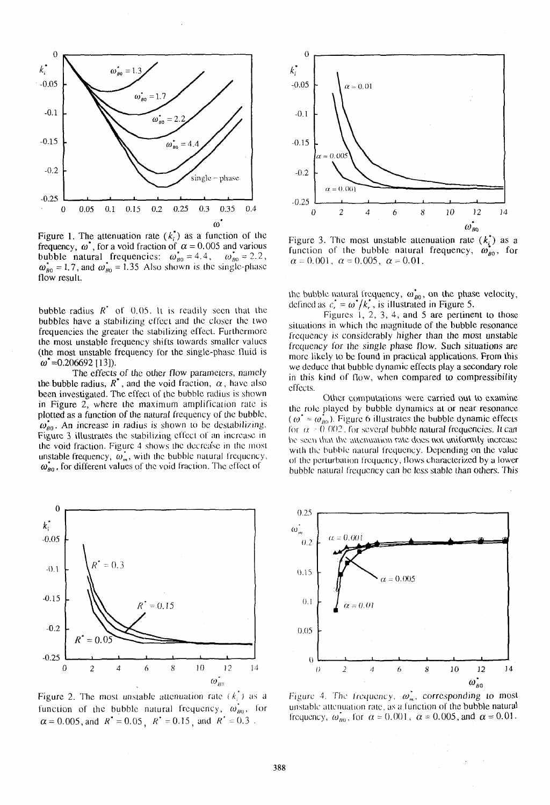

Figure 1. The attenuation rate  $(k<sub>i</sub><sup>*</sup>)$  as a function of the frequency,  $\omega^*$ , for a void fraction of  $\alpha = 0.005$  and various bubble natural frequencies:  $\omega_{B0}^* = 4.4$ ,  $\omega_{B0}^* = 2.2$ ,  $\omega_{B0}^* = 1.7$ , and  $\omega_{B0}^* = 1.35$  Also shown is the single-phase flow result.

bubble radius  $R^*$  of 0.05. It is readily seen that the bubbles have a stabilizing effect and the closer the two frequencies the greater the stabilizing effect. Furthermore the most unstable frequency shifts towards smaller values (the most unstable frequency for the single-phase fluid is  $\omega^*$  = 0.206692 [13]).

The effects of the other flow parameters, namely the bubble radius,  $R^*$ , and the void fraction,  $\alpha$ , have also been investigated. The effect of the bubble radius is shown in Figure 2, where the maximum amplification rate is plotted as a function of the natural frequency of the bubble,  $\omega_{g0}^*$ . An increase in radius is shown to be destabilizing. Figure 3 illustrates the stabilizing effect of an increase in the void fraction. Figure 4 shows the decrease in the most unstable frequency,  $\omega_m^*$ , with the bubble natural frequency,  $\omega_{g0}$ , for different values of the void fraction. The effect of



Figure 2. The most unstable attenuation rate  $(k<sub>i</sub><sup>*</sup>)$  as a function of the bubble natural frequency,  $\omega_{B0}^*$ , for  $\alpha = 0.005$ , and  $R^* = 0.05$ ,  $R^* = 0.15$ , and  $R^* = 0.3$ .



Figure 3. The most unstable attenuation rate  $(k_i^*)$  as a function of the bubble natural frequency,  $\omega_{\text{no}}^*$ , for  $\alpha = 0.001$ ,  $\alpha = 0.005$ ,  $\alpha = 0.01$ .

the bubble natural frequency,  $\omega_{B0}^*$ , on the phase velocity,<br>defined as  $c_r^* = \omega^*/k_r^*$ , is illustrated in Figure 5.<br>Figures 1, 2, 3, 4, and 5 are pertinent to those

situations in which the magnitude of the bubble resonance frequency is considerably higher than the most unstable frequency for the single phase flow. Such situations are more likely to be found in practical applications. From this we deduce that bubble dynamic effects play a secondary role in this kind of flow, when compared to compressibility effects.

Other computations were carried out to examine the role played by bubble dynamics at or near resonance  $(\omega^* \approx \omega_{B0}^*)$ . Figure 6 illustrates the bubble dynamic effects for  $\alpha$  = 0.002, for several bubble natural frequencies. It can be seen that the attenuation rate does not uniformly increase with the bubble natural frequency. Depending on the value of the perturbation frequency, flows characterized by a lower bubble natural frequency can be less stable than others. This



Figure 4. The frequency,  $\omega_m$ , corresponding to most unstable attenuation rate, as a function of the bubble natural frequency,  $\omega_{B0}$ , for  $\alpha = 0.001$ ,  $\alpha = 0.005$ , and  $\alpha = 0.01$ .